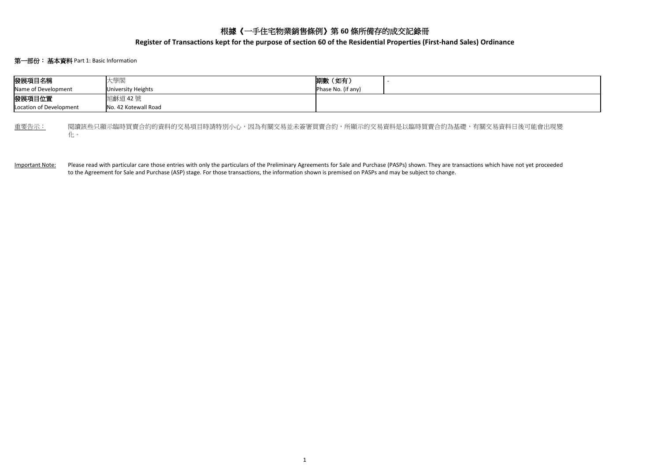# 根據《一手住宅物業銷售條例》第 **60** 條所備存的成交記錄冊

**Register of Transactions kept for the purpose of section 60 of the Residential Properties (First-hand Sales) Ordinance**

# 第一部份:基本資料 Part 1: Basic Information

| 發展項目名稱                                                                                 |  | 大學閣                  | 期數 (如有)            |  |  |  |  |  |
|----------------------------------------------------------------------------------------|--|----------------------|--------------------|--|--|--|--|--|
| Name of Development                                                                    |  | University Heights   | Phase No. (if any) |  |  |  |  |  |
| 發展項目位置                                                                                 |  | <b>旭龢道 42 號</b>      |                    |  |  |  |  |  |
| Location of Development                                                                |  | No. 42 Kotewall Road |                    |  |  |  |  |  |
|                                                                                        |  |                      |                    |  |  |  |  |  |
| 重要告示:<br>閱讀該些只顯示臨時買賣合約的資料的交易項目時請特別小心,因為有關交易並未簽署買賣合約,所顯示的交易資料是以臨時買賣合約為基礎,有關交易資料日後可能會出現變 |  |                      |                    |  |  |  |  |  |

化。

Important Note: Please read with particular care those entries with only the particulars of the Preliminary Agreements for Sale and Purchase (PASPs) shown. They are transactions which have not yet proceeded to the Agreement for Sale and Purchase (ASP) stage. For those transactions, the information shown is premised on PASPs and may be subject to change.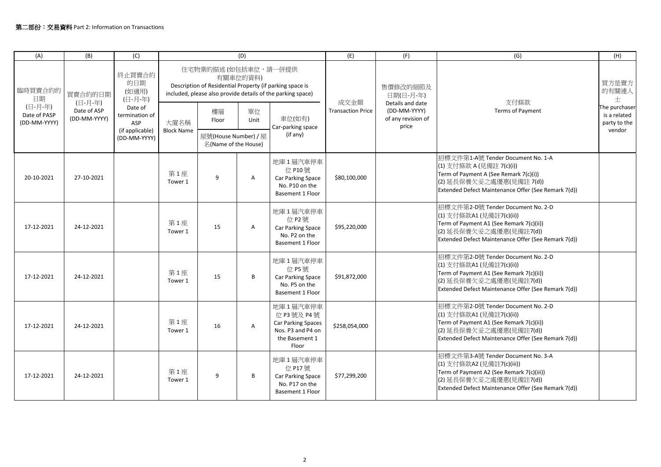| (A)                                                      | (B)                                               | (C)                                                                                                      | (D)                                                                                                                                                        |                                              |            |                                                                                                       | (E)                              | (F)                                                             | (G)                                                                                                                                                                                           | (H)                                                     |
|----------------------------------------------------------|---------------------------------------------------|----------------------------------------------------------------------------------------------------------|------------------------------------------------------------------------------------------------------------------------------------------------------------|----------------------------------------------|------------|-------------------------------------------------------------------------------------------------------|----------------------------------|-----------------------------------------------------------------|-----------------------------------------------------------------------------------------------------------------------------------------------------------------------------------------------|---------------------------------------------------------|
| 臨時買賣合約的<br>日期<br>(日-月-年)<br>Date of PASP<br>(DD-MM-YYYY) | 買賣合約的日期<br>(日-月-年)<br>Date of ASP<br>(DD-MM-YYYY) | 終止買賣合約<br>的日期<br>(如適用)<br>(日-月-年)<br>Date of<br>termination of<br>ASP<br>(if applicable)<br>(DD-MM-YYYY) | 住宅物業的描述(如包括車位,請一併提供<br>有關車位的資料)<br>Description of Residential Property (if parking space is<br>included, please also provide details of the parking space) |                                              |            |                                                                                                       |                                  | 售價修改的細節及<br>日期(日-月-年)                                           |                                                                                                                                                                                               | 買方是賣方<br>的有關連人<br>士                                     |
|                                                          |                                                   |                                                                                                          | 大廈名稱<br><b>Block Name</b>                                                                                                                                  | 樓層<br>Floor                                  | 單位<br>Unit | 車位(如有)<br>Car-parking space                                                                           | 成交金額<br><b>Transaction Price</b> | Details and date<br>(DD-MM-YYYY)<br>of any revision of<br>price | 支付條款<br><b>Terms of Payment</b>                                                                                                                                                               | The purchaser<br>is a related<br>party to the<br>vendor |
|                                                          |                                                   |                                                                                                          |                                                                                                                                                            | 屋號(House Number) / 屋<br>名(Name of the House) |            | (if any)                                                                                              |                                  |                                                                 |                                                                                                                                                                                               |                                                         |
| 20-10-2021                                               | 27-10-2021                                        |                                                                                                          | 第1座<br>Tower 1                                                                                                                                             | 9                                            | A          | 地庫1層汽車停車<br>位 P10號<br>Car Parking Space<br>No. P10 on the<br>Basement 1 Floor                         | \$80,100,000                     |                                                                 | 招標文件第1-A號 Tender Document No. 1-A<br>(1) 支付條款 A (見備註 7(c)(i))<br>Term of Payment A (See Remark 7(c)(i))<br>(2) 延長保養欠妥之處優惠(見備註 7(d))<br>Extended Defect Maintenance Offer (See Remark 7(d))    |                                                         |
| 17-12-2021                                               | 24-12-2021                                        |                                                                                                          | 第1座<br>Tower 1                                                                                                                                             | 15                                           | Α          | 地庫1層汽車停車<br>位 P2 號<br>Car Parking Space<br>No. P2 on the<br>Basement 1 Floor                          | \$95,220,000                     |                                                                 | 招標文件第2-D號 Tender Document No. 2-D<br>(1) 支付條款A1 (見備註7(c)(ii))<br>Term of Payment A1 (See Remark 7(c)(ii))<br>(2) 延長保養欠妥之處優惠(見備註7(d))<br>Extended Defect Maintenance Offer (See Remark 7(d))   |                                                         |
| 17-12-2021                                               | 24-12-2021                                        |                                                                                                          | 第1座<br>Tower 1                                                                                                                                             | 15                                           | B          | 地庫1層汽車停車<br>位 P5 號<br>Car Parking Space<br>No. P5 on the<br><b>Basement 1 Floor</b>                   | \$91,872,000                     |                                                                 | 招標文件第2-D號 Tender Document No. 2-D<br>(1) 支付條款A1 (見備註7(c)(ii))<br>Term of Payment A1 (See Remark 7(c)(ii))<br>(2) 延長保養欠妥之處優惠(見備註7(d))<br>Extended Defect Maintenance Offer (See Remark 7(d))   |                                                         |
| 17-12-2021                                               | 24-12-2021                                        |                                                                                                          | 第1座<br>Tower 1                                                                                                                                             | 16                                           | A          | 地庫1層汽車停車<br>位 P3 號及 P4 號<br><b>Car Parking Spaces</b><br>Nos. P3 and P4 on<br>the Basement 1<br>Floor | \$258,054,000                    |                                                                 | 招標文件第2-D號 Tender Document No. 2-D<br>(1) 支付條款A1 (見備註7(c)(ii))<br>Term of Payment A1 (See Remark 7(c)(ii))<br>(2) 延長保養欠妥之處優惠(見備註7(d))<br>Extended Defect Maintenance Offer (See Remark 7(d))   |                                                         |
| 17-12-2021                                               | 24-12-2021                                        |                                                                                                          | 第1座<br>Tower 1                                                                                                                                             | 9                                            | B          | 地庫1層汽車停車<br>位 P17號<br>Car Parking Space<br>No. P17 on the<br><b>Basement 1 Floor</b>                  | \$77,299,200                     |                                                                 | 招標文件第3-A號 Tender Document No. 3-A<br>(1) 支付條款A2 (見備註7(c)(iii))<br>Term of Payment A2 (See Remark 7(c)(iii))<br>(2) 延長保養欠妥之處優惠(見備註7(d))<br>Extended Defect Maintenance Offer (See Remark 7(d)) |                                                         |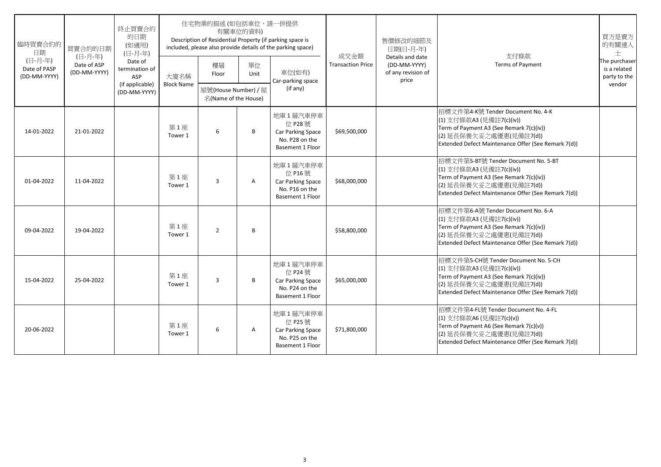| 臨時買賣合約的<br>日期<br>(日-月-年)<br>Date of PASP<br>(DD-MM-YYYY) | 買賣合約的日期<br>(日-月-年)<br>Date of ASP<br>(DD-MM-YYYY) | 終止買賣合約<br>的日期<br>(如適用)<br>(日-月-年)<br>Date of<br>termination of<br>ASP<br>(if applicable)<br>(DD-MM-YYYY) | 住宅物業的描述 (如包括車位,請一併提供<br>有關車位的資料)<br>Description of Residential Property (if parking space is<br>included, please also provide details of the parking space) |                                              |            |                                                                                              |                                  | 售價修改的細節及<br>日期(日-月-年)                                           |                                                                                                                                                                                               | 買方是賣方<br>的有關連人<br>$+$                                   |
|----------------------------------------------------------|---------------------------------------------------|----------------------------------------------------------------------------------------------------------|-------------------------------------------------------------------------------------------------------------------------------------------------------------|----------------------------------------------|------------|----------------------------------------------------------------------------------------------|----------------------------------|-----------------------------------------------------------------|-----------------------------------------------------------------------------------------------------------------------------------------------------------------------------------------------|---------------------------------------------------------|
|                                                          |                                                   |                                                                                                          | 大廈名稱                                                                                                                                                        | 樓層<br>Floor                                  | 單位<br>Unit | 車位(如有)<br>Car-parking space                                                                  | 成交金額<br><b>Transaction Price</b> | Details and date<br>(DD-MM-YYYY)<br>of any revision of<br>price | 支付條款<br><b>Terms of Payment</b>                                                                                                                                                               | The purchaser<br>is a related<br>party to the<br>vendor |
|                                                          |                                                   |                                                                                                          | <b>Block Name</b>                                                                                                                                           | 屋號(House Number) / 屋<br>名(Name of the House) |            | (if any)                                                                                     |                                  |                                                                 |                                                                                                                                                                                               |                                                         |
| 14-01-2022                                               | 21-01-2022                                        |                                                                                                          | 第1座<br>Tower 1                                                                                                                                              | 6                                            | B          | 地庫1層汽車停車<br>位 P28 號<br><b>Car Parking Space</b><br>No. P28 on the<br>Basement 1 Floor        | \$69,500,000                     |                                                                 | 招標文件第4-K號 Tender Document No. 4-K<br>(1) 支付條款A3 (見備註7(c)(iv))<br>Term of Payment A3 (See Remark 7(c)(iv))<br>(2) 延長保養欠妥之處優惠(見備註7(d))<br>Extended Defect Maintenance Offer (See Remark 7(d))   |                                                         |
| 01-04-2022                                               | 11-04-2022                                        |                                                                                                          | 第1座<br>Tower 1                                                                                                                                              | 3                                            | A          | 地庫1層汽車停車<br>位 P16 號<br><b>Car Parking Space</b><br>No. P16 on the<br><b>Basement 1 Floor</b> | \$68,000,000                     |                                                                 | 招標文件第5-BT號 Tender Document No. 5-BT<br>(1) 支付條款A3 (見備註7(c)(iv))<br>Term of Payment A3 (See Remark 7(c)(iv))<br>(2) 延長保養欠妥之處優惠(見備註7(d))<br>Extended Defect Maintenance Offer (See Remark 7(d)) |                                                         |
| 09-04-2022                                               | 19-04-2022                                        |                                                                                                          | 第1座<br>Tower 1                                                                                                                                              | $\overline{2}$                               | B          |                                                                                              | \$58,800,000                     |                                                                 | 招標文件第6-A號 Tender Document No. 6-A<br>(1) 支付條款A3 (見備註7(c)(iv))<br>Term of Payment A3 (See Remark 7(c)(iv))<br>(2) 延長保養欠妥之處優惠(見備註7(d))<br>Extended Defect Maintenance Offer (See Remark 7(d))   |                                                         |
| 15-04-2022                                               | 25-04-2022                                        |                                                                                                          | 第1座<br>Tower 1                                                                                                                                              | 3                                            | B          | 地庫1層汽車停車<br>位 P24 號<br>Car Parking Space<br>No. P24 on the<br><b>Basement 1 Floor</b>        | \$65,000,000                     |                                                                 | 招標文件第5-CH號 Tender Document No. 5-CH<br>(1) 支付條款A3 (見備註7(c)(iv))<br>Term of Payment A3 (See Remark 7(c)(iv))<br>(2) 延長保養欠妥之處優惠(見備註7(d))<br>Extended Defect Maintenance Offer (See Remark 7(d)) |                                                         |
| 20-06-2022                                               |                                                   |                                                                                                          | 第1座<br>Tower 1                                                                                                                                              | 6                                            | Α          | 地庫1層汽車停車<br>位 P25 號<br>Car Parking Space<br>No. P25 on the<br><b>Basement 1 Floor</b>        | \$71,800,000                     |                                                                 | 招標文件第4-FL號 Tender Document No. 4-FL<br>(1) 支付條款A6 (見備註7(c)(v))<br>Term of Payment A6 (See Remark 7(c)(v))<br>(2) 延長保養欠妥之處優惠(見備註7(d))<br>Extended Defect Maintenance Offer (See Remark 7(d))   |                                                         |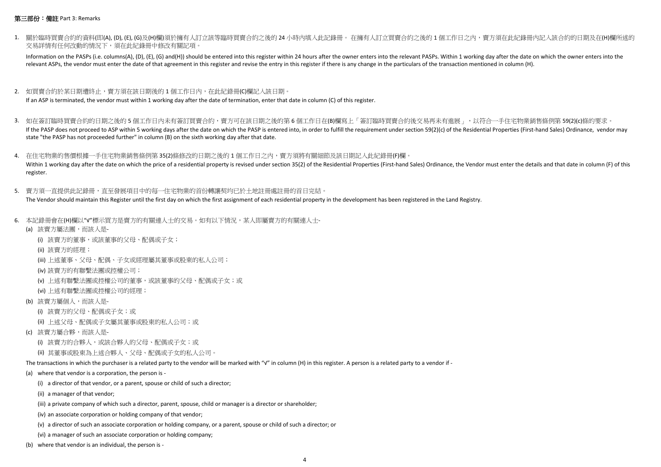## 第三部份:備註 Part 3: Remarks

1. 關於臨時買賣合約的資料(即(A), (D), (E), (G)及(H)欄)須於擁有人訂立該等臨時買賣合約之後的 24 小時內填入此記錄冊。 在擁有人訂立買賣合約之後的 1 個工作日之內,賣方須在此紀錄冊內記入該合約的日期及在(H)欄所述的 交易詳情有任何改動的情況下,須在此紀錄冊中修改有關記項。

Information on the PASPs (i.e. columns(A), (D), (E), (G) and(H)) should be entered into this register within 24 hours after the owner enters into the relevant PASPs. Within 1 working day after the date on which the owner e relevant ASPs, the vendor must enter the date of that agreement in this register and revise the entry in this register if there is any change in the particulars of the transaction mentioned in column (H).

- 2. 如買賣合約於某日期遭終止,賣方須在該日期後的 1 個工作日內,在此紀錄冊(C)欄記入該日期。 If an ASP is terminated, the vendor must within 1 working day after the date of termination, enter that date in column (C) of this register.
- 3. 如在簽訂臨時買賣合約的日期之後的 5 個工作日内未有簽訂買賣合約,賣方可在該日期之後的第 6 個工作日在(B)欄寫上「簽訂臨時買賣合約後交易再未有進展」,以符合一手住宅物業銷售條例第 59(2)(c)條的要求。 If the PASP does not proceed to ASP within 5 working days after the date on which the PASP is entered into, in order to fulfill the requirement under section 59(2)(c) of the Residential Properties (First-hand Sales) Ordina state "the PASP has not proceeded further" in column (B) on the sixth working day after that date.

4. 在住宅物業的售價根據一手住宅物業銷售條例第 35(2)條修改的日期之後的 1 個工作日之内,賣方須將有關細節及該日期記入此紀錄冊(F)欄。 Within 1 working day after the date on which the price of a residential property is revised under section 35(2) of the Residential Properties (First-hand Sales) Ordinance, the Vendor must enter the details and that date in register.

- 5. 賣方須一直提供此記錄冊,直至發展項目中的每一住宅物業的首份轉讓契均已於土地註冊處註冊的首日完結。 The Vendor should maintain this Register until the first day on which the first assignment of each residential property in the development has been registered in the Land Registry.
- 6. 本記錄冊會在(H)欄以"√"標示買方是賣方的有關連人士的交易。如有以下情況,某人即屬賣方的有關連人士-
	- (a) 該賣方屬法團,而該人是-
		- (i) 該賣方的董事,或該董事的父母、配偶或子女;
		- (ii) 該賣方的經理;
		- (iii) 上述董事、父母、配偶、子女或經理屬其董事或股東的私人公司;
		- (iv) 該賣方的有聯繫法團或控權公司;
		- (v) 上述有聯繫法團或控權公司的董事,或該董事的父母、配偶或子女;或
		- (vi) 上述有聯繫法團或控權公司的經理;
	- (b) 該賣方屬個人,而該人是-
		- (i) 該賣方的父母、配偶或子女;或
		- (ii) 上述父母、配偶或子女屬其董事或股東的私人公司;或
	- (c) 該賣方屬合夥,而該人是-
		- (i) 該賣方的合夥人,或該合夥人的父母、配偶或子女;或
		- (ii) 其董事或股東為上述合夥人、父母、配偶或子女的私人公司。

The transactions in which the purchaser is a related party to the vendor will be marked with "√" in column (H) in this register. A person is a related party to a vendor if -

- (a) where that vendor is a corporation, the person is
	- (i) a director of that vendor, or a parent, spouse or child of such a director;
	- (ii) a manager of that vendor;
	- (iii) a private company of which such a director, parent, spouse, child or manager is a director or shareholder;
	- (iv) an associate corporation or holding company of that vendor;
	- (v) a director of such an associate corporation or holding company, or a parent, spouse or child of such a director; or
	- (vi) a manager of such an associate corporation or holding company;
- (b) where that vendor is an individual, the person is -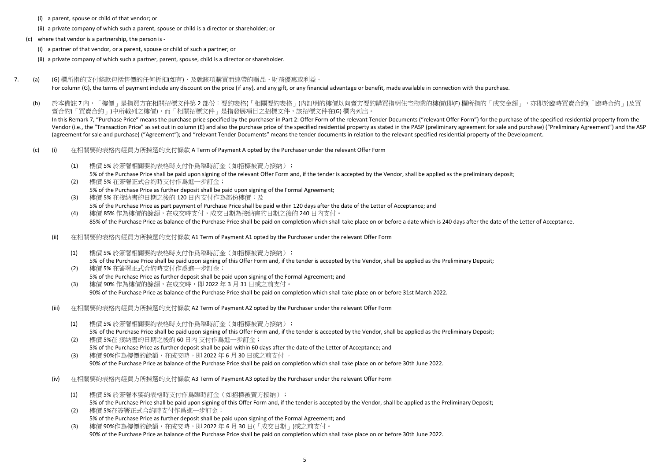- (i) a parent, spouse or child of that vendor; or
- (ii) a private company of which such a parent, spouse or child is a director or shareholder; or
- (c) where that vendor is a partnership, the person is
	- (i) a partner of that vendor, or a parent, spouse or child of such a partner; or
	- (ii) a private company of which such a partner, parent, spouse, child is a director or shareholder.
- 7. (a) (G) 欄所指的支付條款包括售價的任何折扣(如有),及就該項購買而連帶的贈品、財務優惠或利益。 For column (G), the terms of payment include any discount on the price (if any), and any gift, or any financial advantage or benefit, made available in connection with the purchase.
	- (b) 於本備註 7 內,「樓價」是指買方在相關招標文件第 2 部份:要約表格(「相關要約表格」)内訂明的樓價以向賣方要約購買指明住宅物業的樓價(即(E) 欄所指的「成交金額」,亦即於臨時買賣合約(「臨時合約」)及買 賣合約(「買賣合約」)中所載列之樓價),而「相關招標文件」是指發展項目之招標文件,該招標文件在(G) 欄內列出。 In this Remark 7, "Purchase Price" means the purchase price specified by the purchaser in Part 2: Offer Form of the relevant Tender Documents ("relevant Offer Form") for the purchase of the specified residential property f Vendor (i.e., the "Transaction Price" as set out in column (E) and also the purchase price of the specified residential property as stated in the PASP (preliminary agreement for sale and purchase) ("Preliminary Agreement") (agreement for sale and purchase) ("Agreement"); and "relevant Tender Documents" means the tender documents in relation to the relevant specified residential property of the Development.
	- (c) (i) 在相關要約表格内經買方所揀選的支付條款 A Term of Payment A opted by the Purchaser under the relevant Offer Form
		- (1) 樓價 5% 於簽署相關要約表格時支付作爲臨時訂金(如招標被賣方接納); 5% of the Purchase Price shall be paid upon signing of the relevant Offer Form and, if the tender is accepted by the Vendor, shall be applied as the preliminary deposit;
		- (2) 樓價 5% 在簽署正式合約時支付作爲進一步訂金; 5% of the Purchase Price as further deposit shall be paid upon signing of the Formal Agreement; (3) 樓價 5% 在接納書的日期之後的 120 日內支付作為部份樓價;及
		- 5% of the Purchase Price as part payment of Purchase Price shall be paid within 120 days after the date of the Letter of Acceptance; and
		- (4) 樓價 85% 作為樓價的餘額,在成交時支付,成交日期為接納書的日期之後的 240 日內支付。 85% of the Purchase Price as balance of the Purchase Price shall be paid on completion which shall take place on or before a date which is 240 days after the date of the Letter of Acceptance.
		- (ii) 在相關要約表格内經買方所揀選的支付條款 A1 Term of Payment A1 opted by the Purchaser under the relevant Offer Form
			- (1) 樓價 5% 於簽署相關要約表格時支付作爲臨時訂金(如招標被賣方接納); 5% of the Purchase Price shall be paid upon signing of this Offer Form and, if the tender is accepted by the Vendor, shall be applied as the Preliminary Deposit; (2) 樓價 5% 在簽署正式合約時支付作爲進一步訂金;
			- 5% of the Purchase Price as further deposit shall be paid upon signing of the Formal Agreement; and
			- (3) 樓價 90% 作為樓價的餘額,在成交時,即 2022 年 3 月 31 日或之前支付。 90% of the Purchase Price as balance of the Purchase Price shall be paid on completion which shall take place on or before 31st March 2022.
		- (iii) 在相關要約表格内經買方所揀選的支付條款 A2 Term of Payment A2 opted by the Purchaser under the relevant Offer Form
			- (1) 樓價 5% 於簽署相關要約表格時支付作爲臨時訂金(如招標被賣方接納); 5% of the Purchase Price shall be paid upon signing of this Offer Form and, if the tender is accepted by the Vendor, shall be applied as the Preliminary Deposit;
			- (2) 樓價 5%在 接納書的日期之後的 60 日內 支付作爲進一步訂金; 5% of the Purchase Price as further deposit shall be paid within 60 days after the date of the Letter of Acceptance; and
			- (3) 樓價 90%作為樓價的餘額,在成交時,即 2022 年 6 月 30 日或之前支付 。 90% of the Purchase Price as balance of the Purchase Price shall be paid on completion which shall take place on or before 30th June 2022.
		- (iv) 在相關要約表格内經買方所揀選的支付條款 A3 Term of Payment A3 opted by the Purchaser under the relevant Offer Form
			- (1) 樓價 5% 於簽署本要約表格時支付作爲臨時訂金(如招標被賣方接納); 5% of the Purchase Price shall be paid upon signing of this Offer Form and, if the tender is accepted by the Vendor, shall be applied as the Preliminary Deposit;
			- (2) 樓價 5%在簽署正式合約時支付作爲進一步訂金; 5% of the Purchase Price as further deposit shall be paid upon signing of the Formal Agreement; and
			- (3) 樓價 90%作為樓價的餘額,在成交時,即 2022 年 6 月 30 日(「成交日期」)或之前支付。 90% of the Purchase Price as balance of the Purchase Price shall be paid on completion which shall take place on or before 30th June 2022.